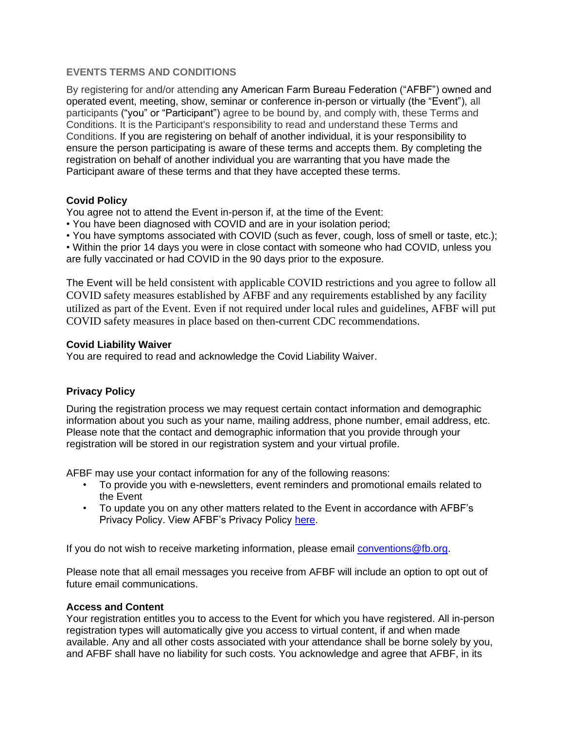## **EVENTS TERMS AND CONDITIONS**

By registering for and/or attending any American Farm Bureau Federation ("AFBF") owned and operated event, meeting, show, seminar or conference in-person or virtually (the "Event"), all participants ("you" or "Participant") agree to be bound by, and comply with, these Terms and Conditions. It is the Participant's responsibility to read and understand these Terms and Conditions. If you are registering on behalf of another individual, it is your responsibility to ensure the person participating is aware of these terms and accepts them. By completing the registration on behalf of another individual you are warranting that you have made the Participant aware of these terms and that they have accepted these terms.

## **Covid Policy**

You agree not to attend the Event in-person if, at the time of the Event:

• You have been diagnosed with COVID and are in your isolation period;

• You have symptoms associated with COVID (such as fever, cough, loss of smell or taste, etc.);

• Within the prior 14 days you were in close contact with someone who had COVID, unless you are fully vaccinated or had COVID in the 90 days prior to the exposure.

The Event will be held consistent with applicable COVID restrictions and you agree to follow all COVID safety measures established by AFBF and any requirements established by any facility utilized as part of the Event. Even if not required under local rules and guidelines, AFBF will put COVID safety measures in place based on then-current CDC recommendations.

### **Covid Liability Waiver**

You are required to read and acknowledge the Covid Liability Waiver.

## **Privacy Policy**

During the registration process we may request certain contact information and demographic information about you such as your name, mailing address, phone number, email address, etc. Please note that the contact and demographic information that you provide through your registration will be stored in our registration system and your virtual profile.

AFBF may use your contact information for any of the following reasons:

- To provide you with e-newsletters, event reminders and promotional emails related to the Event
- To update you on any other matters related to the Event in accordance with AFBF's Privacy Policy. View AFBF's Privacy Policy [here.](https://annualconvention.fb.org/legal)

If you do not wish to receive marketing information, please email [conventions@fb.org.](mailto:conventions@fb.org)

Please note that all email messages you receive from AFBF will include an option to opt out of future email communications.

#### **Access and Content**

Your registration entitles you to access to the Event for which you have registered. All in-person registration types will automatically give you access to virtual content, if and when made available. Any and all other costs associated with your attendance shall be borne solely by you, and AFBF shall have no liability for such costs. You acknowledge and agree that AFBF, in its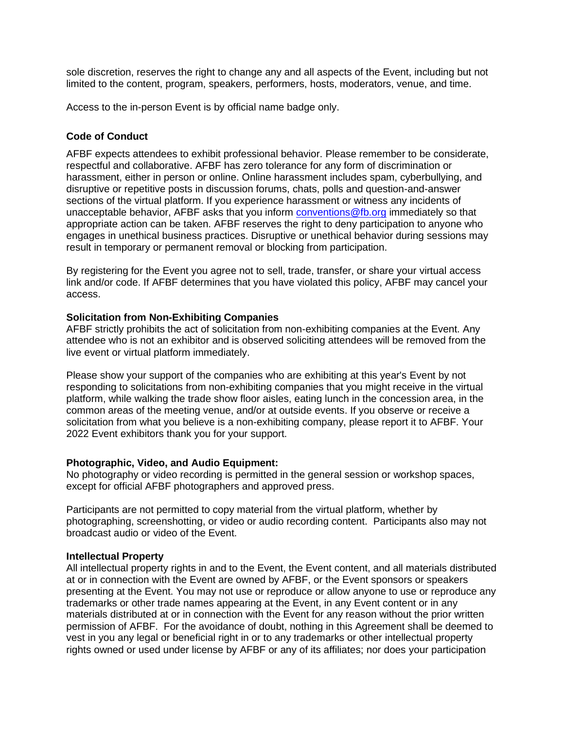sole discretion, reserves the right to change any and all aspects of the Event, including but not limited to the content, program, speakers, performers, hosts, moderators, venue, and time.

Access to the in-person Event is by official name badge only.

# **Code of Conduct**

AFBF expects attendees to exhibit professional behavior. Please remember to be considerate, respectful and collaborative. AFBF has zero tolerance for any form of discrimination or harassment, either in person or online. Online harassment includes spam, cyberbullying, and disruptive or repetitive posts in discussion forums, chats, polls and question-and-answer sections of the virtual platform. If you experience harassment or witness any incidents of unacceptable behavior, AFBF asks that you inform [conventions@fb.org](mailto:conventions@fb.org) immediately so that appropriate action can be taken. AFBF reserves the right to deny participation to anyone who engages in unethical business practices. Disruptive or unethical behavior during sessions may result in temporary or permanent removal or blocking from participation.

By registering for the Event you agree not to sell, trade, transfer, or share your virtual access link and/or code. If AFBF determines that you have violated this policy, AFBF may cancel your access.

### **Solicitation from Non-Exhibiting Companies**

AFBF strictly prohibits the act of solicitation from non-exhibiting companies at the Event. Any attendee who is not an exhibitor and is observed soliciting attendees will be removed from the live event or virtual platform immediately.

Please show your support of the companies who are exhibiting at this year's Event by not responding to solicitations from non-exhibiting companies that you might receive in the virtual platform, while walking the trade show floor aisles, eating lunch in the concession area, in the common areas of the meeting venue, and/or at outside events. If you observe or receive a solicitation from what you believe is a non-exhibiting company, please report it to AFBF. Your 2022 Event exhibitors thank you for your support.

## **Photographic, Video, and Audio Equipment:**

No photography or video recording is permitted in the general session or workshop spaces, except for official AFBF photographers and approved press.

Participants are not permitted to copy material from the virtual platform, whether by photographing, screenshotting, or video or audio recording content. Participants also may not broadcast audio or video of the Event.

#### **Intellectual Property**

All intellectual property rights in and to the Event, the Event content, and all materials distributed at or in connection with the Event are owned by AFBF, or the Event sponsors or speakers presenting at the Event. You may not use or reproduce or allow anyone to use or reproduce any trademarks or other trade names appearing at the Event, in any Event content or in any materials distributed at or in connection with the Event for any reason without the prior written permission of AFBF. For the avoidance of doubt, nothing in this Agreement shall be deemed to vest in you any legal or beneficial right in or to any trademarks or other intellectual property rights owned or used under license by AFBF or any of its affiliates; nor does your participation